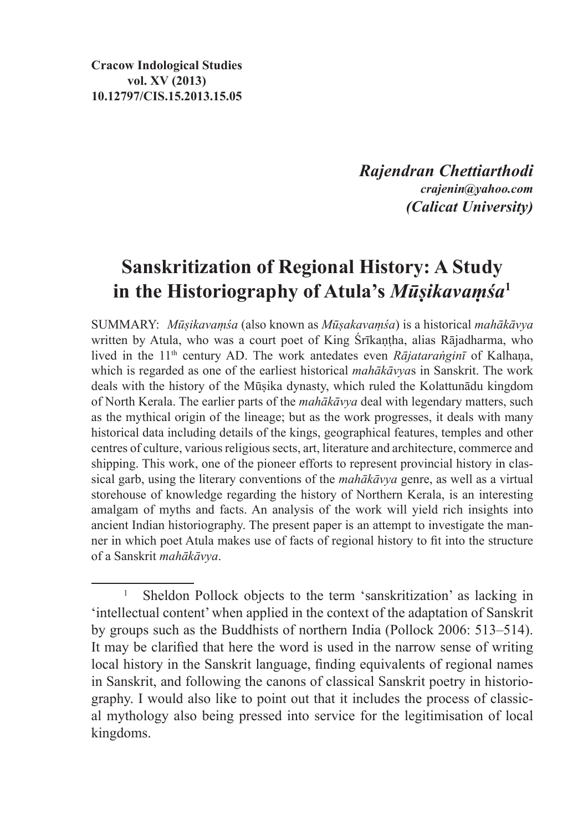**Cracow Indological Studies vol. XV (2013) 10.12797/CIS.15.2013.15.05**

> *Rajendran Chettiarthodi crajenin@yahoo.com (Calicat University)*

## **Sanskritization of Regional History: A Study in the Historiography of Atula's** *Mūṣikavaṃśa***<sup>1</sup>**

SUMMARY: *Mūṣikavaṃśa* (also known as *Mūṣakavaṃśa*) is a historical *mahākāvya*  written by Atula, who was a court poet of King Śrīkaṇṭha, alias Rājadharma, who lived in the 11th century AD. The work antedates even *Rājataraṅginī* of Kalhaṇa, which is regarded as one of the earliest historical *mahākāvya*s in Sanskrit. The work deals with the history of the Mūṣika dynasty, which ruled the Kolattunādu kingdom of North Kerala. The earlier parts of the *mahākāvya* deal with legendary matters, such as the mythical origin of the lineage; but as the work progresses, it deals with many historical data including details of the kings, geographical features, temples and other centres of culture, various religious sects, art, literature and architecture, commerce and shipping. This work, one of the pioneer efforts to represent provincial history in classical garb, using the literary conventions of the *mahākāvya* genre, as well as a virtual storehouse of knowledge regarding the history of Northern Kerala, is an interesting amalgam of myths and facts. An analysis of the work will yield rich insights into ancient Indian historiography. The present paper is an attempt to investigate the manner in which poet Atula makes use of facts of regional history to fit into the structure of a Sanskrit *mahākāvya*.

<sup>1</sup> Sheldon Pollock objects to the term 'sanskritization' as lacking in 'intellectual content' when applied in the context of the adaptation of Sanskrit by groups such as the Buddhists of northern India (Pollock 2006: 513–514). It may be clarified that here the word is used in the narrow sense of writing local history in the Sanskrit language, finding equivalents of regional names in Sanskrit, and following the canons of classical Sanskrit poetry in historiography. I would also like to point out that it includes the process of classical mythology also being pressed into service for the legitimisation of local kingdoms.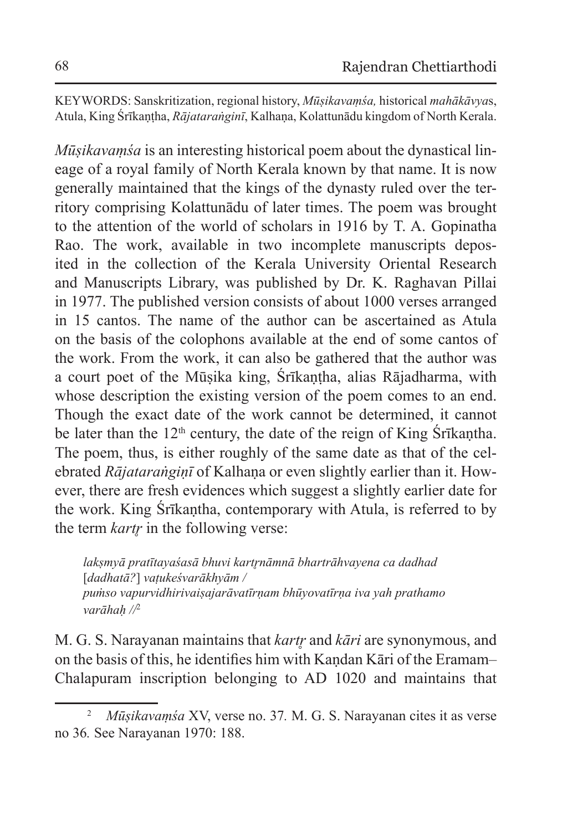KEYWORDS: Sanskritization, regional history, *Mūṣikavaṃśa,* historical *mahākāvya*s, Atula, King Śrīkaṇṭha, *Rājataraṅginī*, Kalhaṇa, Kolattunādu kingdom of North Kerala.

*Mūṣikavaṃśa* is an interesting historical poem about the dynastical lineage of a royal family of North Kerala known by that name. It is now generally maintained that the kings of the dynasty ruled over the territory comprising Kolattunādu of later times. The poem was brought to the attention of the world of scholars in 1916 by T. A. Gopinatha Rao. The work, available in two incomplete manuscripts deposited in the collection of the Kerala University Oriental Research and Manuscripts Library, was published by Dr. K. Raghavan Pillai in 1977. The published version consists of about 1000 verses arranged in 15 cantos. The name of the author can be ascertained as Atula on the basis of the colophons available at the end of some cantos of the work. From the work, it can also be gathered that the author was a court poet of the Mūṣika king, Śrīkaṇṭha, alias Rājadharma, with whose description the existing version of the poem comes to an end. Though the exact date of the work cannot be determined, it cannot be later than the  $12<sup>th</sup>$  century, the date of the reign of King Śrīkantha. The poem, thus, is either roughly of the same date as that of the celebrated *Rājataraṅgiṇī* of Kalhaṇa or even slightly earlier than it. However, there are fresh evidences which suggest a slightly earlier date for the work. King Śrīkaṇtha, contemporary with Atula, is referred to by the term *kartr̥* in the following verse:

*lakṣmyā pratītayaśasā bhuvi kartr̥nāmnā bhartrāhvayena ca dadhad*  [*dadhatā?*] *vaṭukeśvarākhyām / puṁso vapurvidhirivaiṣajarāvatīrṇam bhūyovatīrṇa iva yah prathamo varāhaḥ //*<sup>2</sup>

M. G. S. Narayanan maintains that *kartr̥* and *kāri* are synonymous, and on the basis of this, he identifies him with Kandan Kāri of the Eramam– Chalapuram inscription belonging to AD 1020 and maintains that

<sup>2</sup> *Mūṣikavaṃśa* XV, verse no. 37*.* M. G. S. Narayanan cites it as verse no 36*.* See Narayanan 1970: 188.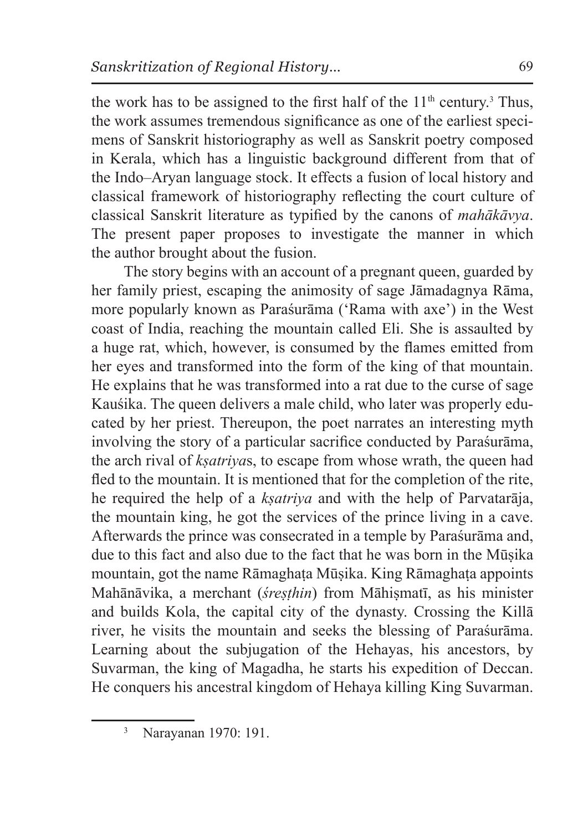the work has to be assigned to the first half of the  $11<sup>th</sup>$  century.<sup>3</sup> Thus, the work assumes tremendous significance as one of the earliest specimens of Sanskrit historiography as well as Sanskrit poetry composed in Kerala, which has a linguistic background different from that of the Indo–Aryan language stock. It effects a fusion of local history and classical framework of historiography reflecting the court culture of classical Sanskrit literature as typified by the canons of *mahākāvya*. The present paper proposes to investigate the manner in which the author brought about the fusion.

The story begins with an account of a pregnant queen, guarded by her family priest, escaping the animosity of sage Jāmadagnya Rāma, more popularly known as Paraśurāma ('Rama with axe') in the West coast of India, reaching the mountain called Eli. She is assaulted by a huge rat, which, however, is consumed by the flames emitted from her eyes and transformed into the form of the king of that mountain. He explains that he was transformed into a rat due to the curse of sage Kauśika. The queen delivers a male child, who later was properly educated by her priest. Thereupon, the poet narrates an interesting myth involving the story of a particular sacrifice conducted by Paraśurāma, the arch rival of *kṣatriya*s, to escape from whose wrath, the queen had fled to the mountain. It is mentioned that for the completion of the rite, he required the help of a *kṣatriya* and with the help of Parvatarāja, the mountain king, he got the services of the prince living in a cave. Afterwards the prince was consecrated in a temple by Paraśurāma and, due to this fact and also due to the fact that he was born in the Mūṣika mountain, got the name Rāmaghaṭa Mūṣika. King Rāmaghaṭa appoints Mahānāvika, a merchant (*śreṣṭhin*) from Māhiṣmatī, as his minister and builds Kola, the capital city of the dynasty. Crossing the Killā river, he visits the mountain and seeks the blessing of Paraśurāma. Learning about the subjugation of the Hehayas, his ancestors, by Suvarman, the king of Magadha, he starts his expedition of Deccan. He conquers his ancestral kingdom of Hehaya killing King Suvarman.

<sup>3</sup> Narayanan 1970: 191.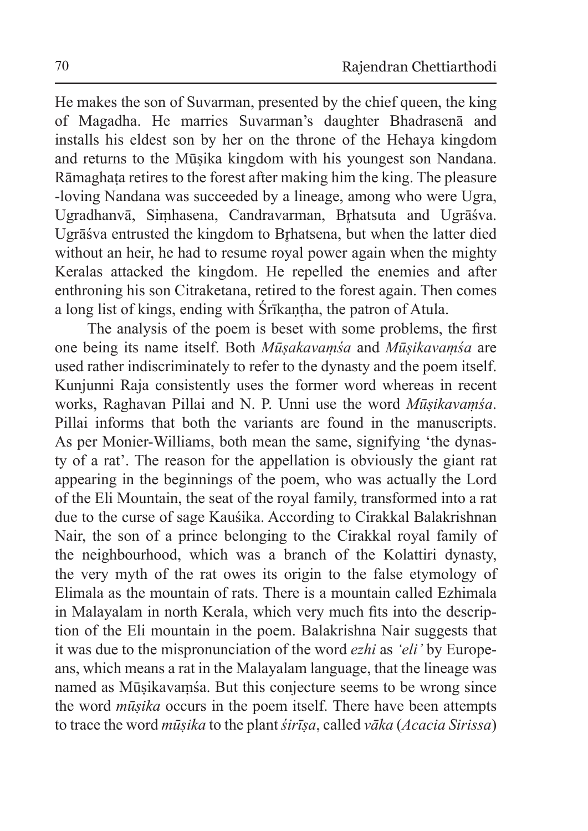He makes the son of Suvarman, presented by the chief queen, the king of Magadha. He marries Suvarman's daughter Bhadrasenā and installs his eldest son by her on the throne of the Hehaya kingdom and returns to the Mūṣika kingdom with his youngest son Nandana. Rāmaghata retires to the forest after making him the king. The pleasure -loving Nandana was succeeded by a lineage, among who were Ugra, Ugradhanvā, Simhasena, Candravarman, Brhatsuta and Ugrāśva. Ugrāśva entrusted the kingdom to Brhatsena, but when the latter died without an heir, he had to resume royal power again when the mighty Keralas attacked the kingdom. He repelled the enemies and after enthroning his son Citraketana, retired to the forest again. Then comes a long list of kings, ending with Śrīkaṇṭha, the patron of Atula.

The analysis of the poem is beset with some problems, the first one being its name itself. Both *Mūṣakavaṃśa* and *Mūṣikavaṃśa* are used rather indiscriminately to refer to the dynasty and the poem itself. Kunjunni Raja consistently uses the former word whereas in recent works, Raghavan Pillai and N. P. Unni use the word *Mūṣikavaṃśa*. Pillai informs that both the variants are found in the manuscripts. As per Monier-Williams, both mean the same, signifying 'the dynasty of a rat'. The reason for the appellation is obviously the giant rat appearing in the beginnings of the poem, who was actually the Lord of the Eli Mountain, the seat of the royal family, transformed into a rat due to the curse of sage Kauśika. According to Cirakkal Balakrishnan Nair, the son of a prince belonging to the Cirakkal royal family of the neighbourhood, which was a branch of the Kolattiri dynasty, the very myth of the rat owes its origin to the false etymology of Elimala as the mountain of rats. There is a mountain called Ezhimala in Malayalam in north Kerala, which very much fits into the description of the Eli mountain in the poem. Balakrishna Nair suggests that it was due to the mispronunciation of the word *ezhi* as *'eli'* by Europeans, which means a rat in the Malayalam language, that the lineage was named as Mūṣikavaṃśa. But this conjecture seems to be wrong since the word *mūṣika* occurs in the poem itself. There have been attempts to trace the word *mūṣika* to the plant *śirīṣa*, called *vāka* (*Acacia Sirissa*)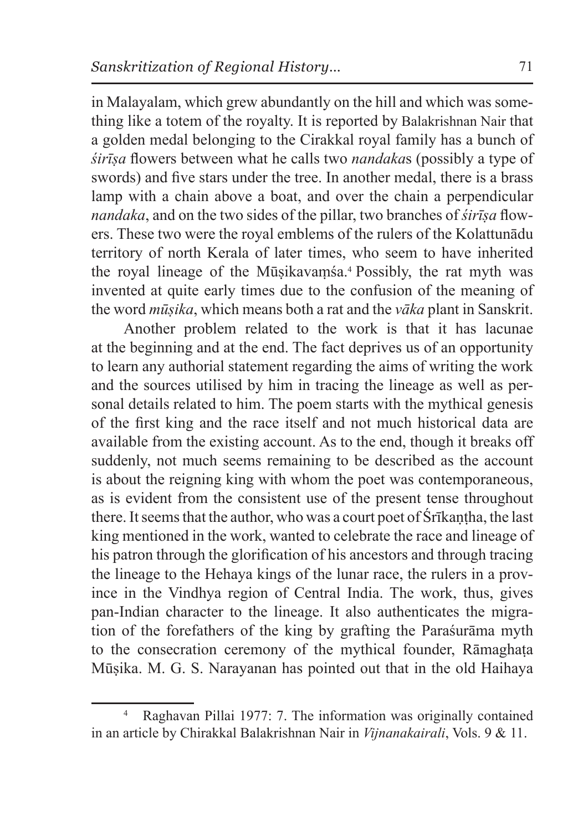in Malayalam, which grew abundantly on the hill and which was something like a totem of the royalty. It is reported by Balakrishnan Nair that a golden medal belonging to the Cirakkal royal family has a bunch of *śirīṣa* flowers between what he calls two *nandaka*s (possibly a type of swords) and five stars under the tree. In another medal, there is a brass lamp with a chain above a boat, and over the chain a perpendicular *nandaka*, and on the two sides of the pillar, two branches of *śirīṣa* flowers. These two were the royal emblems of the rulers of the Kolattunādu territory of north Kerala of later times, who seem to have inherited the royal lineage of the Mūsikavamśa.<sup>4</sup> Possibly, the rat myth was invented at quite early times due to the confusion of the meaning of the word *mūṣika*, which means both a rat and the *vāka* plant in Sanskrit.

Another problem related to the work is that it has lacunae at the beginning and at the end. The fact deprives us of an opportunity to learn any authorial statement regarding the aims of writing the work and the sources utilised by him in tracing the lineage as well as personal details related to him. The poem starts with the mythical genesis of the first king and the race itself and not much historical data are available from the existing account. As to the end, though it breaks off suddenly, not much seems remaining to be described as the account is about the reigning king with whom the poet was contemporaneous, as is evident from the consistent use of the present tense throughout there. It seems that the author, who was a court poet of Śrīkantha, the last king mentioned in the work, wanted to celebrate the race and lineage of his patron through the glorification of his ancestors and through tracing the lineage to the Hehaya kings of the lunar race, the rulers in a province in the Vindhya region of Central India. The work, thus, gives pan-Indian character to the lineage. It also authenticates the migration of the forefathers of the king by grafting the Paraśurāma myth to the consecration ceremony of the mythical founder, Rāmaghaṭa Mūṣika. M. G. S. Narayanan has pointed out that in the old Haihaya

Raghavan Pillai 1977: 7. The information was originally contained in an article by Chirakkal Balakrishnan Nair in *Vijnanakairali*, Vols. 9 & 11.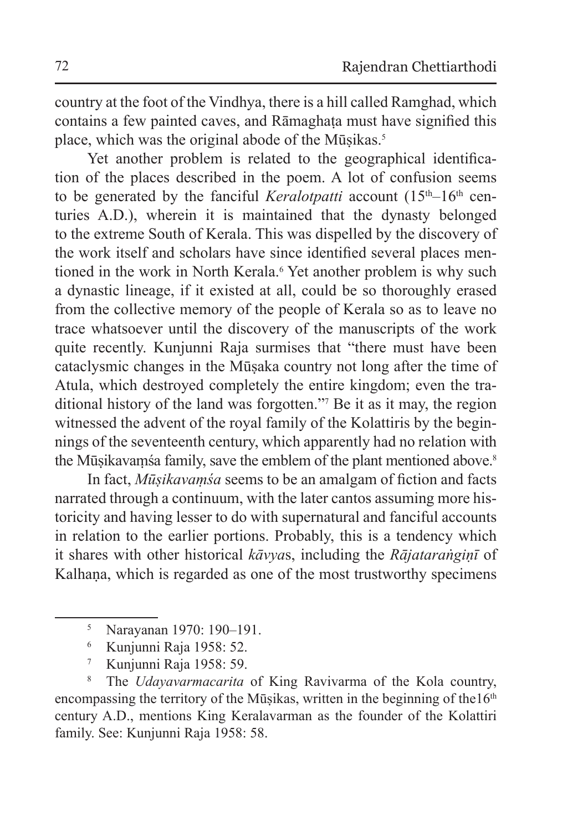country at the foot of the Vindhya, there is a hill called Ramghad, which contains a few painted caves, and Rāmaghata must have signified this place, which was the original abode of the Mūsikas.<sup>5</sup>

Yet another problem is related to the geographical identification of the places described in the poem. A lot of confusion seems to be generated by the fanciful *Keralotpatti* account  $(15<sup>th</sup>-16<sup>th</sup>$  centuries A.D.), wherein it is maintained that the dynasty belonged to the extreme South of Kerala. This was dispelled by the discovery of the work itself and scholars have since identified several places mentioned in the work in North Kerala.<sup>6</sup> Yet another problem is why such a dynastic lineage, if it existed at all, could be so thoroughly erased from the collective memory of the people of Kerala so as to leave no trace whatsoever until the discovery of the manuscripts of the work quite recently. Kunjunni Raja surmises that "there must have been cataclysmic changes in the Mūṣaka country not long after the time of Atula, which destroyed completely the entire kingdom; even the traditional history of the land was forgotten."<sup>7</sup> Be it as it may, the region witnessed the advent of the royal family of the Kolattiris by the beginnings of the seventeenth century, which apparently had no relation with the Mūsikavamśa family, save the emblem of the plant mentioned above.<sup>8</sup>

In fact, *Mūṣikavaṃśa* seems to be an amalgam of fiction and facts narrated through a continuum, with the later cantos assuming more historicity and having lesser to do with supernatural and fanciful accounts in relation to the earlier portions. Probably, this is a tendency which it shares with other historical *kāvya*s, including the *Rājataraṅgiṇī* of Kalhana, which is regarded as one of the most trustworthy specimens

<sup>5</sup> Narayanan 1970: 190–191.

<sup>6</sup> Kunjunni Raja 1958: 52.

<sup>7</sup> Kunjunni Raja 1958: 59.

<sup>8</sup> The *Udayavarmacarita* of King Ravivarma of the Kola country, encompassing the territory of the Mūṣikas, written in the beginning of the $16<sup>th</sup>$ century A.D., mentions King Keralavarman as the founder of the Kolattiri family. See: Kunjunni Raja 1958: 58.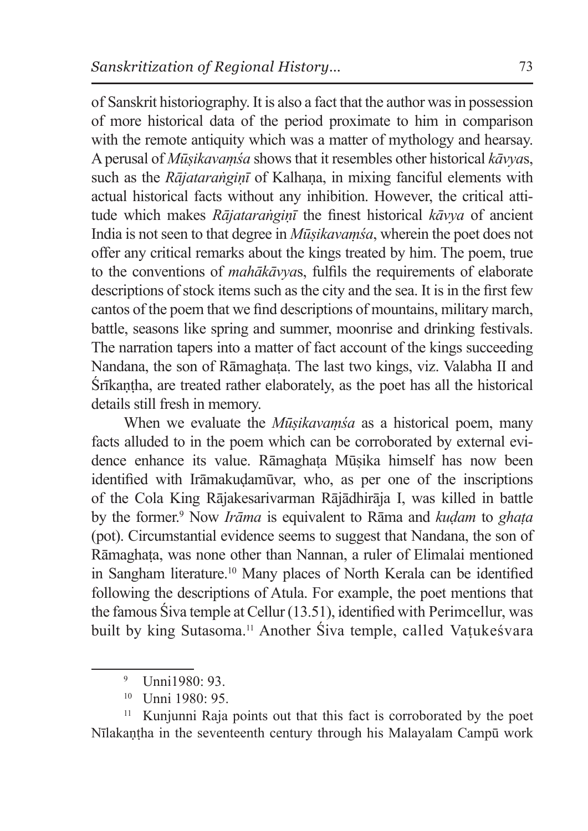of Sanskrit historiography. It is also a fact that the author was in possession of more historical data of the period proximate to him in comparison with the remote antiquity which was a matter of mythology and hearsay. Aperusal of *Mūṣikavaṃśa* shows that it resembles other historical *kāvya*s, such as the *Rājataraṅginī* of Kalhana, in mixing fanciful elements with actual historical facts without any inhibition. However, the critical attitude which makes *Rājataraṅgiṇī* the finest historical *kāvya* of ancient India is not seen to that degree in *Mūṣikavaṃśa*, wherein the poet does not offer any critical remarks about the kings treated by him. The poem, true to the conventions of *mahākāvya*s, fulfils the requirements of elaborate descriptions of stock items such as the city and the sea. It is in the first few cantos of the poem that we find descriptions of mountains, military march, battle, seasons like spring and summer, moonrise and drinking festivals. The narration tapers into a matter of fact account of the kings succeeding Nandana, the son of Rāmaghata. The last two kings, viz. Valabha II and Śrīkaṇṭha, are treated rather elaborately, as the poet has all the historical details still fresh in memory.

When we evaluate the *Mūṣikavaṃśa* as a historical poem, many facts alluded to in the poem which can be corroborated by external evidence enhance its value. Rāmaghata Mūsika himself has now been identified with Irāmakuḍamūvar, who, as per one of the inscriptions of the Cola King Rājakesarivarman Rājādhirāja I, was killed in battle by the former.<sup>9</sup> Now *Irāma* is equivalent to Rāma and *kuḍam* to *ghaṭa*  (pot). Circumstantial evidence seems to suggest that Nandana, the son of Rāmaghaṭa, was none other than Nannan, a ruler of Elimalai mentioned in Sangham literature.<sup>10</sup> Many places of North Kerala can be identified following the descriptions of Atula. For example, the poet mentions that the famous Śiva temple at Cellur (13.51), identified with Perimcellur, was built by king Sutasoma.11 Another Śiva temple, called Vaṭukeśvara

<sup>9</sup> Unni1980: 93.

<sup>10</sup> Unni 1980: 95.

<sup>&</sup>lt;sup>11</sup> Kunjunni Raja points out that this fact is corroborated by the poet Nīlakaṇṭha in the seventeenth century through his Malayalam Campū work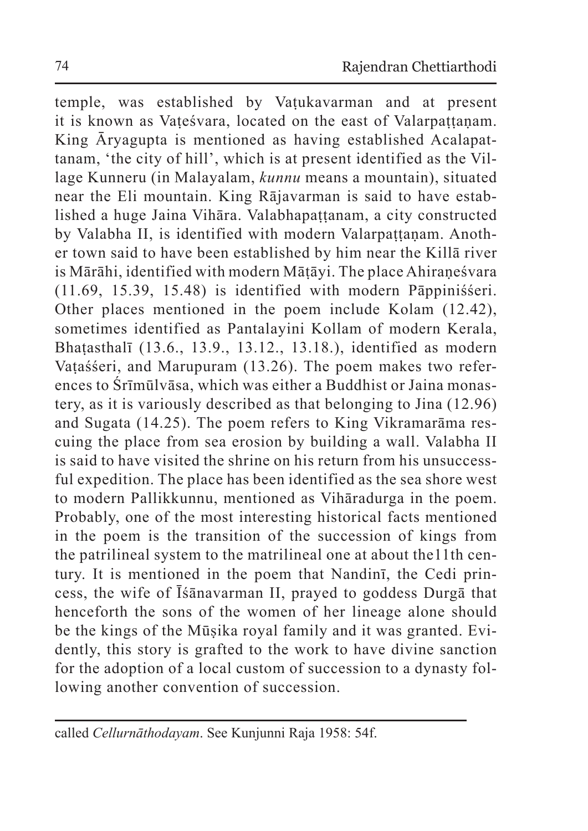temple, was established by Vaṭukavarman and at present it is known as Vateśvara, located on the east of Valarpattanam. King Āryagupta is mentioned as having established Acalapattanam, 'the city of hill', which is at present identified as the Village Kunneru (in Malayalam, *kunnu* means a mountain), situated near the Eli mountain. King Rājavarman is said to have established a huge Jaina Vihāra. Valabhapattanam, a city constructed by Valabha II, is identified with modern Valarpattanam. Another town said to have been established by him near the Killā river is Mārāhi, identified with modern Māṭāyi. The place Ahiraṇeśvara (11.69, 15.39, 15.48) is identified with modern Pāppiniśśeri. Other places mentioned in the poem include Kolam (12.42), sometimes identified as Pantalayini Kollam of modern Kerala, Bhaṭasthalī (13.6., 13.9., 13.12., 13.18.), identified as modern Vataśśeri, and Marupuram (13.26). The poem makes two references to Śrīmūlvāsa, which was either a Buddhist or Jaina monastery, as it is variously described as that belonging to Jina (12.96) and Sugata (14.25). The poem refers to King Vikramarāma rescuing the place from sea erosion by building a wall. Valabha II is said to have visited the shrine on his return from his unsuccessful expedition. The place has been identified as the sea shore west to modern Pallikkunnu, mentioned as Vihāradurga in the poem. Probably, one of the most interesting historical facts mentioned in the poem is the transition of the succession of kings from the patrilineal system to the matrilineal one at about the11th century. It is mentioned in the poem that Nandinī, the Cedi princess, the wife of Īśānavarman II, prayed to goddess Durgā that henceforth the sons of the women of her lineage alone should be the kings of the Mūṣika royal family and it was granted. Evidently, this story is grafted to the work to have divine sanction for the adoption of a local custom of succession to a dynasty following another convention of succession.

called *Cellurnāthodayam*. See Kunjunni Raja 1958: 54f.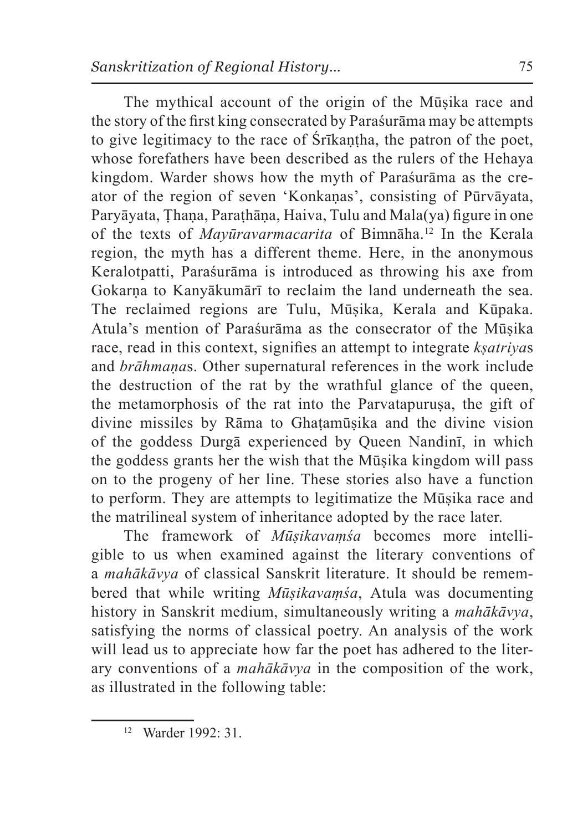The mythical account of the origin of the Mūṣika race and the story of the first king consecrated by Paraśurāma may be attempts to give legitimacy to the race of Śrīkantha, the patron of the poet, whose forefathers have been described as the rulers of the Hehaya kingdom. Warder shows how the myth of Paraśurāma as the creator of the region of seven 'Konkaṇas', consisting of Pūrvāyata, Paryāyata, Ṭhaṇa, Paraṭhāṇa, Haiva, Tulu and Mala(ya) figure in one of the texts of *Mayūravarmacarita* of Bimnāha.<sup>12</sup> In the Kerala region, the myth has a different theme. Here, in the anonymous Keralotpatti, Paraśurāma is introduced as throwing his axe from Gokarna to Kanyākumārī to reclaim the land underneath the sea. The reclaimed regions are Tulu, Mūṣika, Kerala and Kūpaka. Atula's mention of Paraśurāma as the consecrator of the Mūṣika race, read in this context, signifies an attempt to integrate *kṣatriya*s and *brāhmaṇa*s. Other supernatural references in the work include the destruction of the rat by the wrathful glance of the queen, the metamorphosis of the rat into the Parvatapurusa, the gift of divine missiles by Rāma to Ghaṭamūṣika and the divine vision of the goddess Durgā experienced by Queen Nandinī, in which the goddess grants her the wish that the Mūṣika kingdom will pass on to the progeny of her line. These stories also have a function to perform. They are attempts to legitimatize the Mūṣika race and the matrilineal system of inheritance adopted by the race later.

The framework of *Mūṣikavaṃśa* becomes more intelligible to us when examined against the literary conventions of a *mahākāvya* of classical Sanskrit literature. It should be remembered that while writing *Mūṣikavaṃśa*, Atula was documenting history in Sanskrit medium, simultaneously writing a *mahākāvya*, satisfying the norms of classical poetry. An analysis of the work will lead us to appreciate how far the poet has adhered to the literary conventions of a *mahākāvya* in the composition of the work, as illustrated in the following table:

<sup>12</sup> Warder 1992: 31.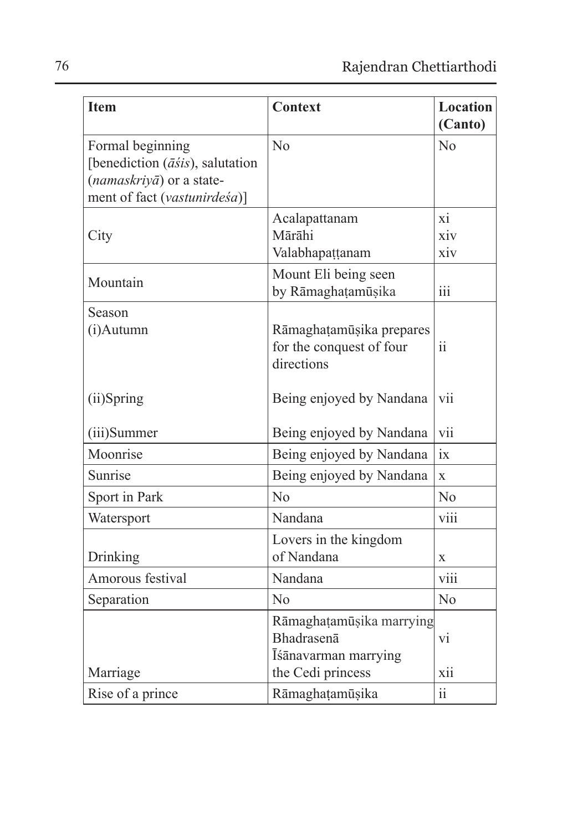| <b>Item</b>                                                                          | <b>Context</b>                             | Location<br>(Canto) |
|--------------------------------------------------------------------------------------|--------------------------------------------|---------------------|
|                                                                                      |                                            |                     |
| Formal beginning                                                                     | No                                         | No                  |
| [benediction $(\overline{a}\overline{s}is)$ , salutation<br>(namaskriyā) or a state- |                                            |                     |
| ment of fact (vastunirdeśa)]                                                         |                                            |                     |
|                                                                                      |                                            | xi                  |
|                                                                                      | Acalapattanam<br>Mārāhi                    | xiv                 |
| City                                                                                 | Valabhapattanam                            | $\dot{x}$ iv        |
|                                                                                      |                                            |                     |
| Mountain                                                                             | Mount Eli being seen<br>by Rāmaghaṭamūṣika | iii                 |
|                                                                                      |                                            |                     |
| Season                                                                               |                                            |                     |
| (i)Autumn                                                                            | Rāmaghaṭamūṣika prepares                   | ii.                 |
|                                                                                      | for the conquest of four<br>directions     |                     |
|                                                                                      |                                            |                     |
| (ii)Spring                                                                           | Being enjoyed by Nandana                   | vii                 |
|                                                                                      |                                            |                     |
| (iii)Summer                                                                          | Being enjoyed by Nandana                   | vii                 |
| Moonrise                                                                             | Being enjoyed by Nandana                   | ix                  |
| Sunrise                                                                              | Being enjoyed by Nandana                   | $\mathbf{x}$        |
| Sport in Park                                                                        | $\rm No$                                   | No                  |
| Watersport                                                                           | Nandana                                    | viii                |
|                                                                                      | Lovers in the kingdom                      |                     |
| Drinking                                                                             | of Nandana                                 | $\mathbf x$         |
| Amorous festival                                                                     | Nandana                                    | viii                |
| Separation                                                                           | $\rm No$                                   | No                  |
|                                                                                      | Rāmaghaṭamūṣika marrying                   |                     |
|                                                                                      | Bhadrasenā                                 | vi                  |
|                                                                                      | Īśānavarman marrying                       |                     |
| Marriage                                                                             | the Cedi princess                          | xii                 |
| Rise of a prince                                                                     | Rāmaghaṭamūṣika                            | $\ddot{\rm ii}$     |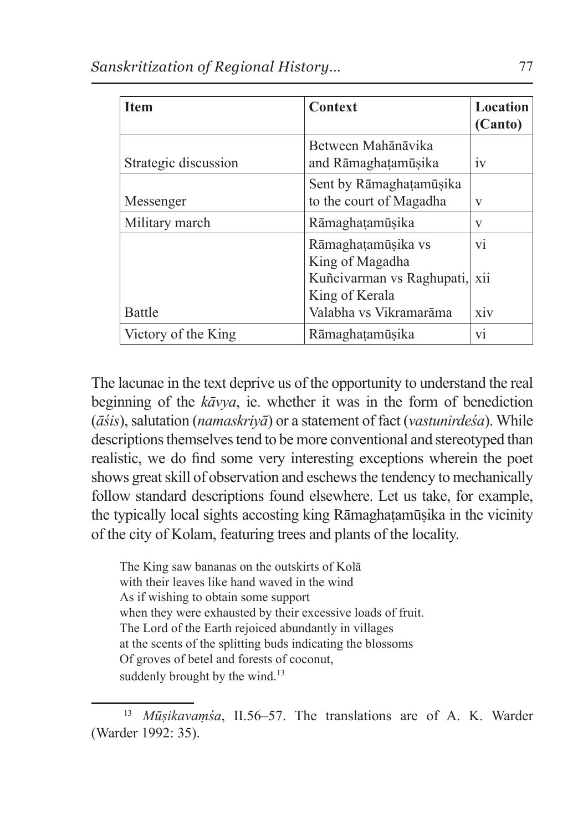| <b>Item</b>          | Context                                            | Location<br>(Canto) |
|----------------------|----------------------------------------------------|---------------------|
| Strategic discussion | Between Mahānāvika<br>and Rāmaghaṭamūṣika          | 1V                  |
| Messenger            | Sent by Rāmaghaṭamūṣika<br>to the court of Magadha | V                   |
| Military march       | Rāmaghaṭamūṣika                                    | V                   |
|                      | Rāmaghatamūşika vs<br>King of Magadha              | vi                  |
|                      | Kuñcivarman vs Raghupati,<br>King of Kerala        | xii                 |
| <b>Battle</b>        | Valabha vs Vikramarāma                             | <b>XIV</b>          |
| Victory of the King  | Rāmaghaṭamūṣika                                    | vi                  |

The lacunae in the text deprive us of the opportunity to understand the real beginning of the *kāvya*, ie. whether it was in the form of benediction (*āśis*), salutation (*namaskriyā*) or a statement of fact (*vastunirdeśa*). While descriptions themselves tend to be more conventional and stereotyped than realistic, we do find some very interesting exceptions wherein the poet shows great skill of observation and eschews the tendency to mechanically follow standard descriptions found elsewhere. Let us take, for example, the typically local sights accosting king Rāmaghaṭamūṣika in the vicinity of the city of Kolam, featuring trees and plants of the locality.

The King saw bananas on the outskirts of Kolā with their leaves like hand waved in the wind As if wishing to obtain some support when they were exhausted by their excessive loads of fruit. The Lord of the Earth rejoiced abundantly in villages at the scents of the splitting buds indicating the blossoms Of groves of betel and forests of coconut, suddenly brought by the wind.<sup>13</sup>

<sup>13</sup> *Mūṣikavaṃśa*, II.56–57. The translations are of A. K. Warder (Warder 1992: 35).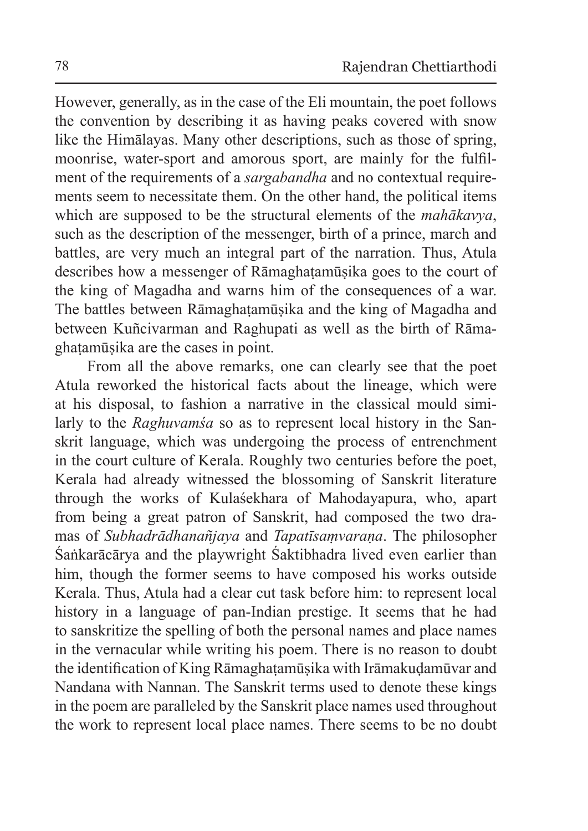However, generally, as in the case of the Eli mountain, the poet follows the convention by describing it as having peaks covered with snow like the Himālayas. Many other descriptions, such as those of spring, moonrise, water-sport and amorous sport, are mainly for the fulfilment of the requirements of a *sargabandha* and no contextual requirements seem to necessitate them. On the other hand, the political items which are supposed to be the structural elements of the *mahākavya*, such as the description of the messenger, birth of a prince, march and battles, are very much an integral part of the narration. Thus, Atula describes how a messenger of Rāmaghaṭamūṣika goes to the court of the king of Magadha and warns him of the consequences of a war. The battles between Rāmaghaṭamūṣika and the king of Magadha and between Kuñcivarman and Raghupati as well as the birth of Rāmaghaṭamūṣika are the cases in point.

From all the above remarks, one can clearly see that the poet Atula reworked the historical facts about the lineage, which were at his disposal, to fashion a narrative in the classical mould similarly to the *Raghuvamśa* so as to represent local history in the Sanskrit language, which was undergoing the process of entrenchment in the court culture of Kerala. Roughly two centuries before the poet, Kerala had already witnessed the blossoming of Sanskrit literature through the works of Kulaśekhara of Mahodayapura, who, apart from being a great patron of Sanskrit, had composed the two dramas of *Subhadrādhanañjaya* and *Tapatīsaṃvaraṇa*. The philosopher Śaṅkarācārya and the playwright Śaktibhadra lived even earlier than him, though the former seems to have composed his works outside Kerala. Thus, Atula had a clear cut task before him: to represent local history in a language of pan-Indian prestige. It seems that he had to sanskritize the spelling of both the personal names and place names in the vernacular while writing his poem. There is no reason to doubt the identification of King Rāmaghaṭamūṣika with Irāmakuḍamūvar and Nandana with Nannan. The Sanskrit terms used to denote these kings in the poem are paralleled by the Sanskrit place names used throughout the work to represent local place names. There seems to be no doubt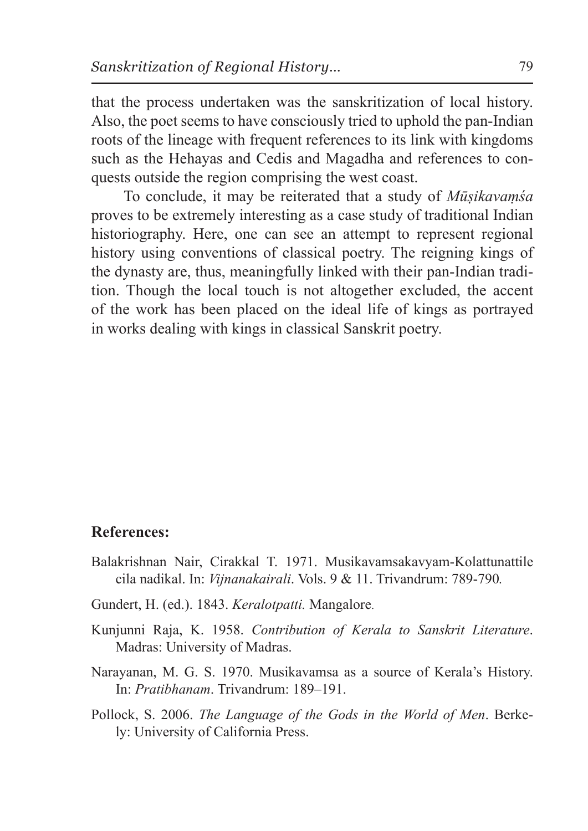that the process undertaken was the sanskritization of local history. Also, the poet seems to have consciously tried to uphold the pan-Indian roots of the lineage with frequent references to its link with kingdoms such as the Hehayas and Cedis and Magadha and references to conquests outside the region comprising the west coast.

To conclude, it may be reiterated that a study of *Mūṣikavaṃśa* proves to be extremely interesting as a case study of traditional Indian historiography. Here, one can see an attempt to represent regional history using conventions of classical poetry. The reigning kings of the dynasty are, thus, meaningfully linked with their pan-Indian tradition. Though the local touch is not altogether excluded, the accent of the work has been placed on the ideal life of kings as portrayed in works dealing with kings in classical Sanskrit poetry.

## **References:**

- Balakrishnan Nair, Cirakkal T. 1971. Musikavamsakavyam-Kolattunattile cila nadikal. In: *Vijnanakairali*. Vols. 9 & 11. Trivandrum: 789-790*.*
- Gundert, H. (ed.). 1843. *Keralotpatti.* Mangalore.
- Kunjunni Raja, K. 1958. *Contribution of Kerala to Sanskrit Literature*. Madras: University of Madras.
- Narayanan, M. G. S. 1970. Musikavamsa as a source of Kerala's History. In: *Pratibhanam*. Trivandrum: 189–191.
- Pollock, S. 2006. *The Language of the Gods in the World of Men*. Berkely: University of California Press.